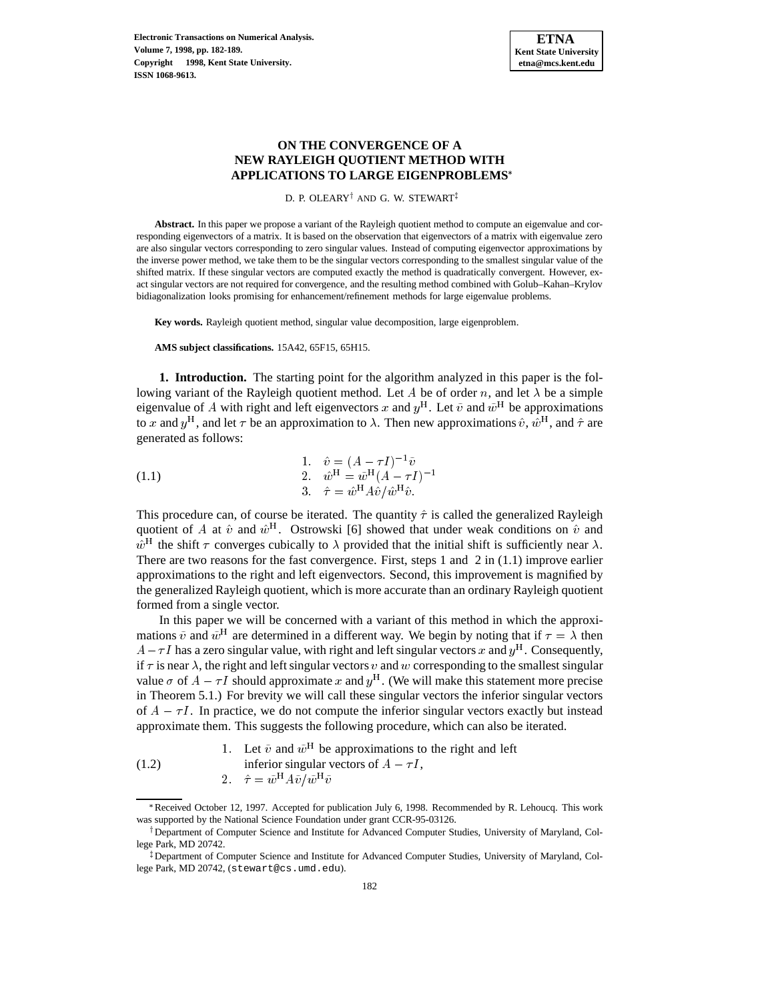

# **ON THE CONVERGENCE OF A NEW RAYLEIGH QUOTIENT METHOD WITH APPLICATIONS TO LARGE EIGENPROBLEMS**

D. P. OLEARY† AND G. W. STEWART‡

**Abstract.** In this paper we propose a variant of the Rayleigh quotient method to compute an eigenvalue and corresponding eigenvectors of a matrix. It is based on the observation that eigenvectors of a matrix with eigenvalue zero are also singular vectors corresponding to zero singular values. Instead of computing eigenvector approximations by the inverse power method, we take them to be the singular vectors corresponding to the smallest singular value of the shifted matrix. If these singular vectors are computed exactly the method is quadratically convergent. However, exact singular vectors are not required for convergence, and the resulting method combined with Golub–Kahan–Krylov bidiagonalization looks promising for enhancement/refinement methods for large eigenvalue problems.

**Key words.** Rayleigh quotient method, singular value decomposition, large eigenproblem.

**AMS subject classifications.** 15A42, 65F15, 65H15.

**1. Introduction.** The starting point for the algorithm analyzed in this paper is the following variant of the Rayleigh quotient method. Let A be of order n, and let  $\lambda$  be a simple eigenvalue of A with right and left eigenvectors x and  $y<sup>H</sup>$ . Let  $\tilde{v}$  and  $\tilde{w}<sup>H</sup>$  be approximations to x and  $y^H$ , and let  $\tau$  be an approximation to  $\lambda$ . Then new approximations  $\hat{v}$ ,  $\hat{w}^H$ , and  $\hat{\tau}$  are generated as follows:

(1.1) 
$$
\hat{v} = (A - \tau I)^{-1} \tilde{v} \n2. \quad \hat{w}^{\text{H}} = \tilde{w}^{\text{H}} (A - \tau I)^{-1} \n3. \quad \hat{\tau} = \hat{w}^{\text{H}} A \hat{v} / \hat{w}^{\text{H}} \hat{v}.
$$

This procedure can, of course be iterated. The quantity  $\hat{\tau}$  is called the generalized Rayleigh quotient of A at  $\hat{v}$  and  $\hat{w}^H$ . Ostrowski [6] showed that under weak conditions on  $\hat{v}$  and  $\hat{w}^H$  the shift  $\tau$  converges cubically to  $\lambda$  provided that the initial shift is sufficiently near  $\lambda$ . There are two reasons for the fast convergence. First, steps 1 and 2 in (1.1) improve earlier approximations to the right and left eigenvectors. Second, this improvement is magnified by the generalized Rayleigh quotient, which is more accurate than an ordinary Rayleigh quotient formed from a single vector.

In this paper we will be concerned with a variant of this method in which the approximations  $\tilde{v}$  and  $\tilde{w}^H$  are determined in a different way. We begin by noting that if  $\tau = \lambda$  then  $A - \tau I$  has a zero singular value, with right and left singular vectors x and  $y<sup>H</sup>$ . Consequently, if  $\tau$  is near  $\lambda$ , the right and left singular vectors v and w corresponding to the smallest singular value  $\sigma$  of  $A - \tau I$  should approximate x and  $y<sup>H</sup>$ . (We will make this statement more precise in Theorem 5.1.) For brevity we will call these singular vectors the inferior singular vectors of  $A - \tau I$ . In practice, we do not compute the inferior singular vectors exactly but instead approximate them. This suggests the following procedure, which can also be iterated.

1. Let 
$$
\tilde{v}
$$
 and  $\tilde{w}^H$  be approximations to the right and left inferior singular vectors of  $A - \tau I$ ,

$$
\text{inferior singular ve} \\
2. \quad \hat{\tau} = \tilde{w}^{\text{H}} A \tilde{v} / \tilde{w}^{\text{H}} \tilde{v}
$$

<sup>\*</sup>Received October 12, 1997. Accepted for publication July 6, 1998. Recommended by R. Lehoucq. This work was supported by the National Science Foundation under grant CCR-95-03126.

<sup>&</sup>lt;sup>†</sup> Department of Computer Science and Institute for Advanced Computer Studies, University of Maryland, College Park, MD 20742.

<sup>&</sup>lt;sup>‡</sup> Department of Computer Science and Institute for Advanced Computer Studies, University of Maryland, College Park, MD 20742, (stewart@cs.umd.edu).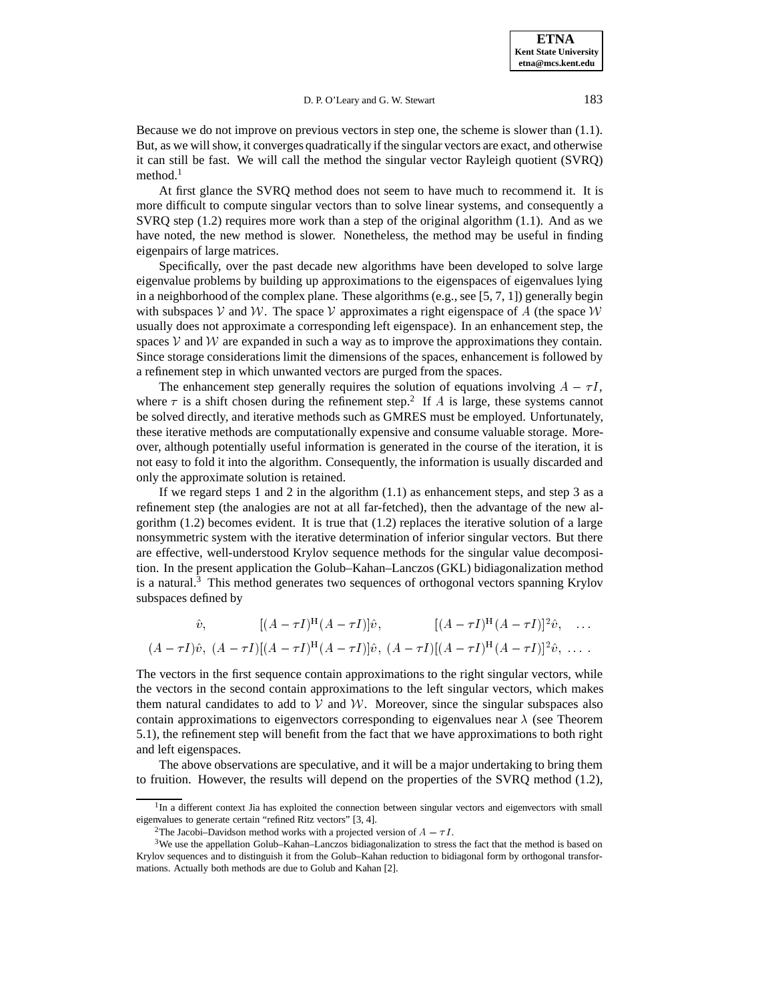#### D. P. O'Leary and G. W. Stewart 183

Because we do not improve on previous vectors in step one, the scheme is slower than (1.1). But, as we will show, it converges quadratically if the singular vectors are exact, and otherwise it can still be fast. We will call the method the singular vector Rayleigh quotient (SVRQ) method.<sup>1</sup>

At first glance the SVRQ method does not seem to have much to recommend it. It is more difficult to compute singular vectors than to solve linear systems, and consequently a SVRQ step (1.2) requires more work than a step of the original algorithm (1.1). And as we have noted, the new method is slower. Nonetheless, the method may be useful in finding eigenpairs of large matrices.

Specifically, over the past decade new algorithms have been developed to solve large eigenvalue problems by building up approximations to the eigenspaces of eigenvalues lying in a neighborhood of the complex plane. These algorithms (e.g., see [5, 7, 1]) generally begin with subspaces V and W. The space V approximates a right eigenspace of A (the space W usually does not approximate a corresponding left eigenspace). In an enhancement step, the spaces  $V$  and  $W$  are expanded in such a way as to improve the approximations they contain. Since storage considerations limit the dimensions of the spaces, enhancement is followed by a refinement step in which unwanted vectors are purged from the spaces.

The enhancement step generally requires the solution of equations involving  $A - \tau I$ , where  $\tau$  is a shift chosen during the refinement step.<sup>2</sup> If A is large, these systems cannot be solved directly, and iterative methods such as GMRES must be employed. Unfortunately, these iterative methods are computationally expensive and consume valuable storage. Moreover, although potentially useful information is generated in the course of the iteration, it is not easy to fold it into the algorithm. Consequently, the information is usually discarded and only the approximate solution is retained.

If we regard steps 1 and 2 in the algorithm  $(1.1)$  as enhancement steps, and step 3 as a refinement step (the analogies are not at all far-fetched), then the advantage of the new algorithm  $(1.2)$  becomes evident. It is true that  $(1.2)$  replaces the iterative solution of a large nonsymmetric system with the iterative determination of inferior singular vectors. But there are effective, well-understood Krylov sequence methods for the singular value decomposition. In the present application the Golub–Kahan–Lanczos (GKL) bidiagonalization method is a natural. $3$  This method generates two sequences of orthogonal vectors spanning Krylov subspaces defined by

$$
\hat{v}, \qquad [(A - \tau I)^{H} (A - \tau I)] \hat{v}, \qquad [(A - \tau I)^{H} (A - \tau I)]^{2} \hat{v}, \qquad \dots
$$

$$
(A - \tau I) \hat{v}, \ (A - \tau I)[(A - \tau I)^{H} (A - \tau I)] \hat{v}, \ (A - \tau I)[(A - \tau I)^{H} (A - \tau I)]^{2} \hat{v}, \qquad \dots
$$

The vectors in the first sequence contain approximations to the right singular vectors, while the vectors in the second contain approximations to the left singular vectors, which makes them natural candidates to add to  $V$  and  $W$ . Moreover, since the singular subspaces also contain approximations to eigenvectors corresponding to eigenvalues near  $\lambda$  (see Theorem 5.1), the refinement step will benefit from the fact that we have approximations to both right and left eigenspaces.

The above observations are speculative, and it will be a major undertaking to bring them to fruition. However, the results will depend on the properties of the SVRQ method (1.2),

<sup>&</sup>lt;sup>1</sup>In a different context Jia has exploited the connection between singular vectors and eigenvectors with small eigenvalues to generate certain "refined Ritz vectors" [3, 4].

<sup>&</sup>lt;sup>2</sup>The Jacobi–Davidson method works with a projected version of  $A - \tau I$ .

 $3$ We use the appellation Golub–Kahan–Lanczos bidiagonalization to stress the fact that the method is based on Krylov sequences and to distinguish it from the Golub–Kahan reduction to bidiagonal form by orthogonal transformations. Actually both methods are due to Golub and Kahan [2].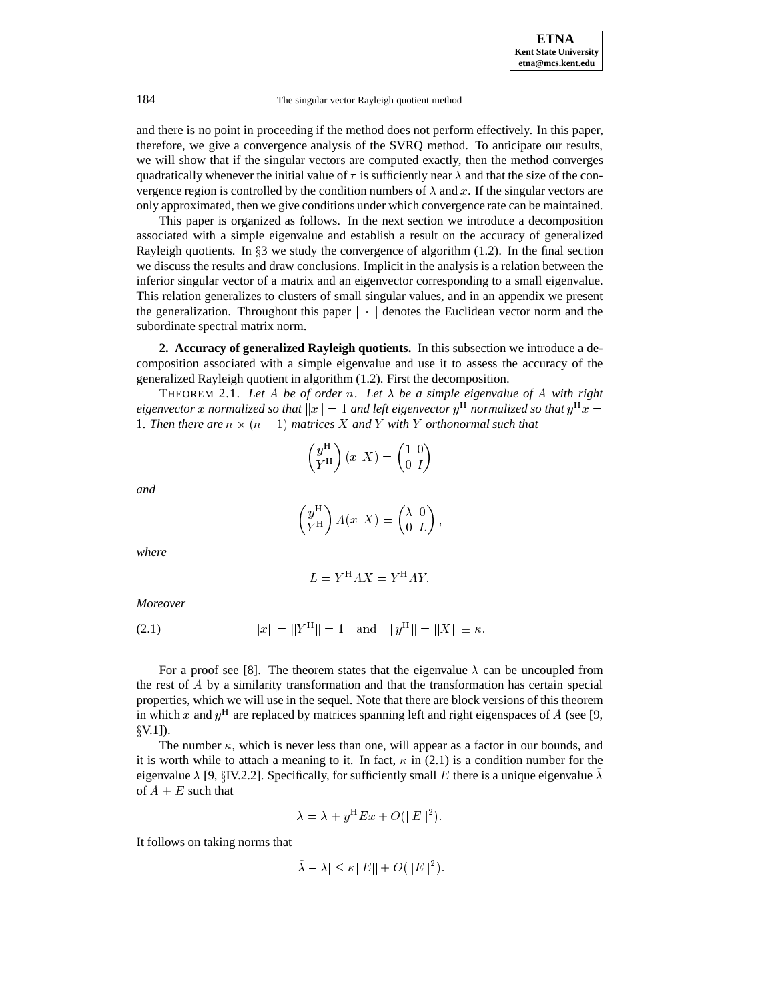184 The singular vector Rayleigh quotient method

and there is no point in proceeding if the method does not perform effectively. In this paper, therefore, we give a convergence analysis of the SVRQ method. To anticipate our results, we will show that if the singular vectors are computed exactly, then the method converges quadratically whenever the initial value of  $\tau$  is sufficiently near  $\lambda$  and that the size of the convergence region is controlled by the condition numbers of  $\lambda$  and x. If the singular vectors are only approximated, then we give conditions under which convergence rate can be maintained.

This paper is organized as follows. In the next section we introduce a decomposition associated with a simple eigenvalue and establish a result on the accuracy of generalized Rayleigh quotients. In  $\S 3$  we study the convergence of algorithm (1.2). In the final section we discuss the results and draw conclusions. Implicit in the analysis is a relation between the inferior singular vector of a matrix and an eigenvector corresponding to a small eigenvalue. This relation generalizes to clusters of small singular values, and in an appendix we present the generalization. Throughout this paper  $\|\cdot\|$  denotes the Euclidean vector norm and the subordinate spectral matrix norm.

**2. Accuracy of generalized Rayleigh quotients.** In this subsection we introduce a decomposition associated with a simple eigenvalue and use it to assess the accuracy of the generalized Rayleigh quotient in algorithm (1.2). First the decomposition.

THEOREM 2.1. Let A be of order n. Let  $\lambda$  be a simple eigenvalue of A with right *eigenvector* x normalized so that  $||x|| = 1$  and left eigenvector y<sup>H</sup> normalized so that  $y<sup>H</sup> x =$ 1. Then there are  $n \times (n - 1)$  matrices X and Y with Y orthonormal such that

$$
\begin{pmatrix} y^{\mathrm{H}} \\ Y^{\mathrm{H}} \end{pmatrix} (x \ X) = \begin{pmatrix} 1 & 0 \\ 0 & I \end{pmatrix}
$$

*and*

$$
\begin{pmatrix} y^{\mathrm{H}} \\ Y^{\mathrm{H}} \end{pmatrix} A(x \mid X) = \begin{pmatrix} \lambda & 0 \\ 0 & L \end{pmatrix},
$$

*where*

$$
L = Y^{\mathcal{H}} A X = Y^{\mathcal{H}} A Y.
$$

*Moreover*

(2.1) 
$$
||x|| = ||Y^H|| = 1
$$
 and  $||y^H|| = ||X|| \equiv \kappa$ .

For a proof see [8]. The theorem states that the eigenvalue  $\lambda$  can be uncoupled from the rest of <sup>A</sup> by a similarity transformation and that the transformation has certain special properties, which we will use in the sequel. Note that there are block versions of this theorem in which x and  $y<sup>H</sup>$  are replaced by matrices spanning left and right eigenspaces of A (see [9,  $\S$ V.1]).

The number  $\kappa$ , which is never less than one, will appear as a factor in our bounds, and it is worth while to attach a meaning to it. In fact,  $\kappa$  in (2.1) is a condition number for the eigenvalue  $\lambda$  [9, §IV.2.2]. Specifically, for sufficiently small E there is a unique eigenvalue  $\lambda$ of  $A + E$  such that

$$
\tilde{\lambda} = \lambda + y^{\mathrm{H}} E x + O(||E||^2).
$$

It follows on taking norms that

$$
|\tilde{\lambda} - \lambda| \le \kappa ||E|| + O(||E||^2).
$$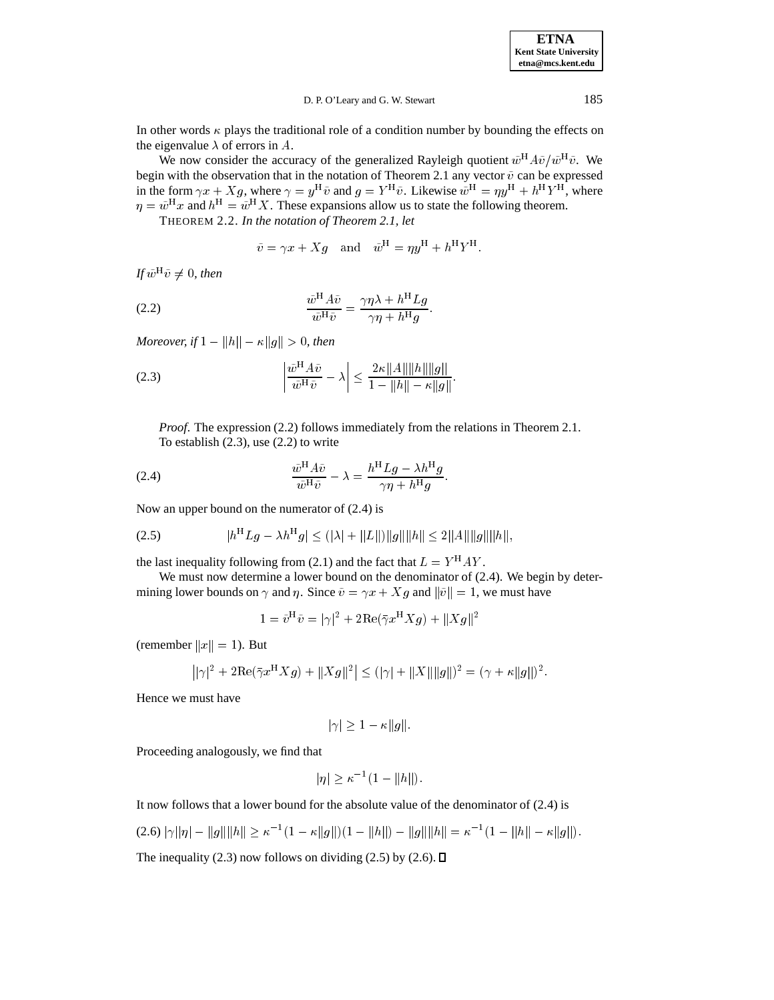**ETNA Kent State University etna@mcs.kent.edu**

D. P. O'Leary and G. W. Stewart 185

In other words  $\kappa$  plays the traditional role of a condition number by bounding the effects on the eigenvalue  $\lambda$  of errors in A.

We now consider the accuracy of the generalized Rayleigh quotient  $\tilde{w}^H A \tilde{v}/\tilde{w}^H \tilde{v}$ . We begin with the observation that in the notation of Theorem 2.1 any vector  $\tilde{v}$  can be expressed in the form  $\gamma x + Xg$ , where  $\gamma = y^{\text{H}}\tilde{v}$  and  $g = Y^{\text{H}}\tilde{v}$ . Likewise  $\tilde{w}^{\text{H}} = \eta y^{\text{H}} + h^{\text{H}}Y^{\text{H}}$ , where  $\eta = \tilde{w}^H x$  and  $h^H = \tilde{w}^H X$ . These expansions allow us to state the following theorem.

THEOREM 2.2. *In the notation of Theorem 2.1, let*

$$
\tilde{v} = \gamma x + Xg \quad \text{and} \quad \tilde{w}^{\text{H}} = \eta y^{\text{H}} + h^{\text{H}} Y^{\text{H}}.
$$

If  $\tilde{w}^{\text{H}}\tilde{v} \neq 0$ , then

(2.2) 
$$
\frac{\tilde{w}^{\mathrm{H}} A \tilde{v}}{\tilde{w}^{\mathrm{H}} \tilde{v}} = \frac{\gamma \eta \lambda + h^{\mathrm{H}} L g}{\gamma \eta + h^{\mathrm{H}} g}.
$$

*Moreover, if*  $1 - ||h|| - \kappa ||g|| > 0$ *, then* 

(2.3) 
$$
\left| \frac{\tilde{w}^{\mathrm{H}} A \tilde{v}}{\tilde{w}^{\mathrm{H}} \tilde{v}} - \lambda \right| \leq \frac{2\kappa ||A|| ||h|| ||g||}{1 - ||h|| - \kappa ||g||}.
$$

*Proof*. The expression (2.2) follows immediately from the relations in Theorem 2.1. To establish (2.3), use (2.2) to write

(2.4) 
$$
\frac{\tilde{w}^{\mathrm{H}} A \tilde{v}}{\tilde{w}^{\mathrm{H}} \tilde{v}} - \lambda = \frac{h^{\mathrm{H}} L g - \lambda h^{\mathrm{H}} g}{\gamma \eta + h^{\mathrm{H}} g}.
$$

Now an upper bound on the numerator of (2.4) is

$$
(2.5) \t\t |h^{\mathrm{H}} Lg - \lambda h^{\mathrm{H}} g| \le (|\lambda| + ||L||) ||g|| ||h|| \le 2 ||A||||g|| ||h||,
$$

the last inequality following from (2.1) and the fact that  $L = Y^{\text{H}}AY$ .

We must now determine a lower bound on the denominator of  $(2.4)$ . We begin by determining lower bounds on  $\gamma$  and  $\eta$ . Since  $\tilde{v} = \gamma x + X g$  and  $\|\tilde{v}\| = 1$ , we must have

$$
1 = \tilde{v}^{\mathrm{H}}\tilde{v} = |\gamma|^2 + 2\mathrm{Re}(\bar{\gamma}x^{\mathrm{H}}Xg) + \|Xg\|^2
$$

(remember  $||x|| = 1$ ). But

$$
||\gamma|^2 + 2\text{Re}(\bar{\gamma}x^{\text{H}}Xg) + \|Xg\|^2 \le (|\gamma| + \|X\|\|g\|)^2 = (\gamma + \kappa\|g\|)^2.
$$

Hence we must have

$$
|\gamma|\geq 1-\kappa\|g\|.
$$

Proceeding analogously, we find that

$$
|\eta| \ge \kappa^{-1} (1 - ||h||).
$$

It now follows that a lower bound for the absolute value of the denominator of (2.4) is

$$
(2.6)\ |\gamma||\eta| - \|g\| \|h\| \ge \kappa^{-1} (1 - \kappa \|g\|)(1 - \|h\|) - \|g\| \|h\| = \kappa^{-1} (1 - \|h\| - \kappa \|g\|).
$$

The inequality (2.3) now follows on dividing (2.5) by (2.6).  $\Box$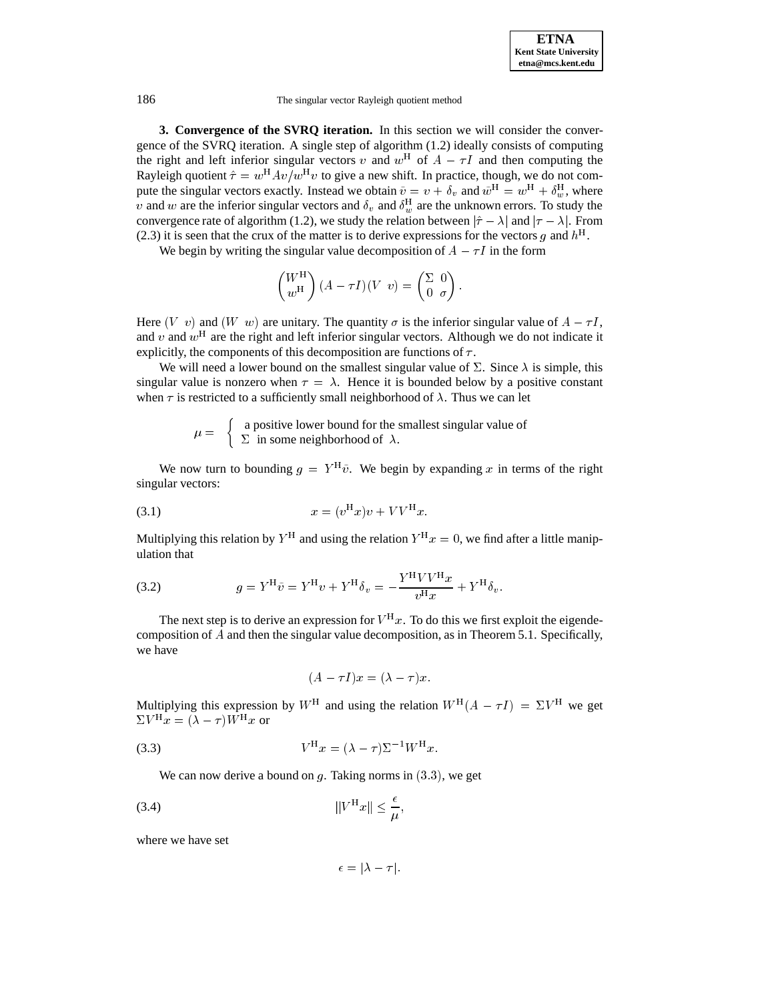# 186 The singular vector Rayleigh quotient method

**3. Convergence of the SVRQ iteration.** In this section we will consider the convergence of the SVRQ iteration. A single step of algorithm (1.2) ideally consists of computing the right and left inferior singular vectors v and  $w^H$  of  $A - \tau I$  and then computing the Rayleigh quotient  $\hat{\tau} = w^{\text{H}}Av/w^{\text{H}}v$  to give a new shift. In practice, though, we do not compute the singular vectors exactly. Instead we obtain  $\tilde{v} = v + \delta_v$  and  $\tilde{w}^H = w^H + \delta_w^H$ , where v and w are the inferior singular vectors and  $\delta_v$  and  $\delta_w^{\text{H}}$  are the unknown errors. To study the convergence rate of algorithm (1.2), we study the relation between  $|\hat{\tau} - \lambda|$  and  $|\tau - \lambda|$ . From (2.3) it is seen that the crux of the matter is to derive expressions for the vectors g and  $h^H$ .

We begin by writing the singular value decomposition of  $A - \tau I$  in the form

$$
\begin{pmatrix} W^{\mathrm{H}} \\ w^{\mathrm{H}} \end{pmatrix} (A - \tau I)(V \ v) = \begin{pmatrix} \Sigma & 0 \\ 0 & \sigma \end{pmatrix}.
$$

Here  $(V \, v)$  and  $(W \, w)$  are unitary. The quantity  $\sigma$  is the inferior singular value of  $A - \tau I$ , and v and  $w<sup>H</sup>$  are the right and left inferior singular vectors. Although we do not indicate it explicitly, the components of this decomposition are functions of  $\tau$ .

We will need a lower bound on the smallest singular value of  $\Sigma$ . Since  $\lambda$  is simple, this singular value is nonzero when  $\tau = \lambda$ . Hence it is bounded below by a positive constant when  $\tau$  is restricted to a sufficiently small neighborhood of  $\lambda$ . Thus we can let

$$
\mu = \begin{cases} a positive lower bound for the smallest singular value of \n\Sigma in some neighborhood of  $\lambda$ .
$$

We now turn to bounding  $g = Y^{\text{H}}\tilde{v}$ . We begin by expanding x in terms of the right singular vectors:

(3.1) 
$$
x = (v^{\rm H}x)v + VV^{\rm H}x.
$$

Multiplying this relation by  $Y^H$  and using the relation  $Y^H x = 0$ , we find after a little manipulation that

(3.2) 
$$
g = Y^{H} \tilde{v} = Y^{H} v + Y^{H} \delta_{v} = -\frac{Y^{H} V V^{H} x}{v^{H} x} + Y^{H} \delta_{v}.
$$

The next step is to derive an expression for  $V^H x$ . To do this we first exploit the eigendecomposition of A and then the singular value decomposition, as in Theorem 5.1. Specifically, we have

$$
(A - \tau I)x = (\lambda - \tau)x.
$$

Multiplying this expression by  $W^H$  and using the relation  $W^H(A - \tau I) = \Sigma V^H$  we get  $\Sigma V^{\mathrm{H}} x = (\lambda - \tau) W^{\mathrm{H}} x$  or

$$
(3.3) \tVH x = (\lambda - \tau) \Sigma^{-1} WH x.
$$

We can now derive a bound on  $g$ . Taking norms in  $(3.3)$ , we get

$$
||V^{\mathrm{H}}x|| \leq \frac{\epsilon}{\mu},
$$

where we have set

 $\epsilon = |\lambda - \tau|.$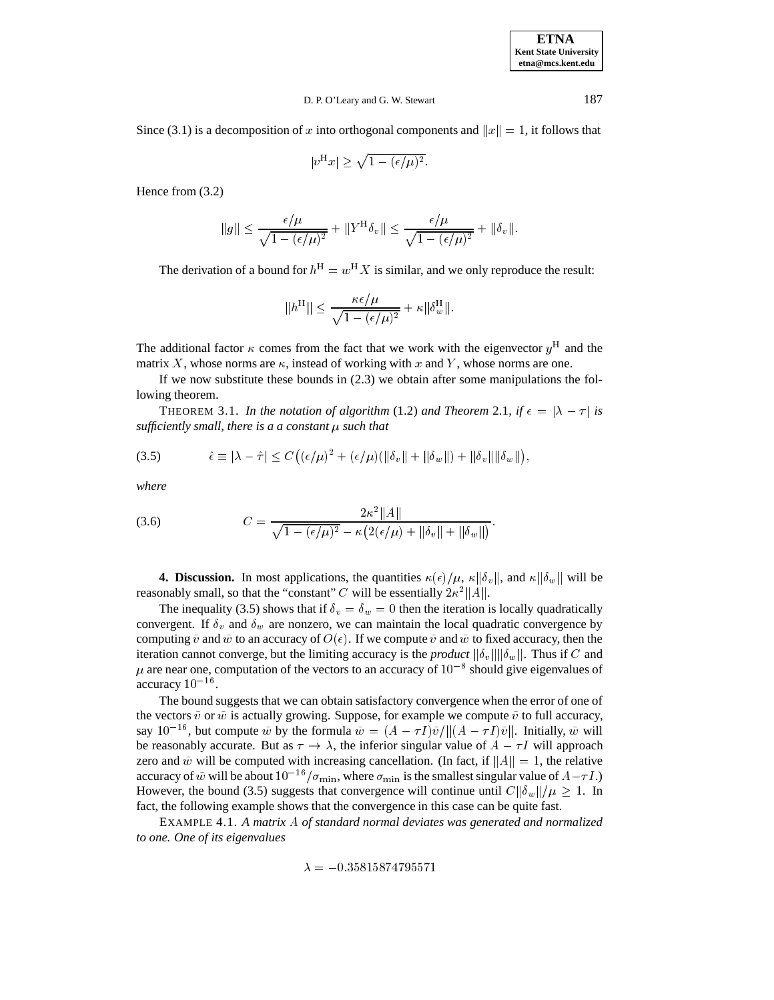**ETNA Kent State University etna@mcs.kent.edu**

### D. P. O'Leary and G. W. Stewart 187

Since (3.1) is a decomposition of x into orthogonal components and  $||x|| = 1$ , it follows that

$$
|v^{\mathrm{H}}x| \ge \sqrt{1 - (\epsilon/\mu)^2}.
$$

Hence from (3.2)

$$
\|g\| \leq \frac{\epsilon/\mu}{\sqrt{1 - (\epsilon/\mu)^2}} + \|Y^{\mathrm{H}} \delta_v\| \leq \frac{\epsilon/\mu}{\sqrt{1 - (\epsilon/\mu)^2}} + \|\delta_v\|.
$$

The derivation of a bound for  $h^H = w^H X$  is similar, and we only reproduce the result:

$$
||h^{\mathrm{H}}|| \le \frac{\kappa \epsilon / \mu}{\sqrt{1 - (\epsilon / \mu)^2}} + \kappa ||\delta_w^{\mathrm{H}}||.
$$

The additional factor  $\kappa$  comes from the fact that we work with the eigenvector  $y^H$  and the matrix X, whose norms are  $\kappa$ , instead of working with x and Y, whose norms are one.

If we now substitute these bounds in (2.3) we obtain after some manipulations the following theorem.

THEOREM 3.1. *In the notation of algorithm* (1.2) *and Theorem* 2.1, *if*  $\epsilon = |\lambda - \tau|$  *is sufficiently small, there is a a constant such that*

$$
(3.5) \qquad \hat{\epsilon} \equiv |\lambda - \hat{\tau}| \leq C\big((\epsilon/\mu)^2 + (\epsilon/\mu)(\|\delta_v\| + \|\delta_w\|) + \|\delta_v\|\|\delta_w\|\big),
$$

*where*

(3.6) 
$$
C = \frac{2\kappa^2 ||A||}{\sqrt{1 - (\epsilon/\mu)^2} - \kappa (2(\epsilon/\mu) + ||\delta_v|| + ||\delta_w||)}.
$$

**4. Discussion.** In most applications, the quantities  $\kappa(\epsilon)/\mu$ ,  $\kappa \|\delta_v\|$ , and  $\kappa \|\delta_w\|$  will be reasonably small, so that the "constant" C will be essentially  $2\kappa^2||A||$ .

The inequality (3.5) shows that if  $\delta_v = \delta_w = 0$  then the iteration is locally quadratically convergent. If  $\delta_v$  and  $\delta_w$  are nonzero, we can maintain the local quadratic convergence by computing  $\tilde{v}$  and  $\tilde{w}$  to an accuracy of  $O(\epsilon)$ . If we compute  $\tilde{v}$  and  $\tilde{w}$  to fixed accuracy, then the iteration cannot converge, but the limiting accuracy is the *product*  $\|\delta_v\| \|\delta_w\|$ . Thus if C and  $\mu$  are near one, computation of the vectors to an accuracy of  $10^{-8}$  should give eigenvalues of accuracy  $10^{-16}$ .

The bound suggests that we can obtain satisfactory convergence when the error of one of the vectors  $\tilde{v}$  or  $\tilde{w}$  is actually growing. Suppose, for example we compute  $\tilde{v}$  to full accuracy, say  $10^{-16}$ , but compute  $\tilde{w}$  by the formula  $\tilde{w} = (A - \tau I)\tilde{v}/\|(A - \tau I)\tilde{v}\|$ . Initially,  $\tilde{w}$  will be reasonably accurate. But as  $\tau \to \lambda$ , the inferior singular value of  $A - \tau I$  will approach zero and  $\tilde{w}$  will be computed with increasing cancellation. (In fact, if  $||A|| = 1$ , the relative accuracy of  $\tilde{w}$  will be about  $10^{-16}/\sigma_{\min}$ , where  $\sigma_{\min}$  is the smallest singular value of  $A - \tau I$ .) However, the bound (3.5) suggests that convergence will continue until  $C\|\delta_w\|/\mu \geq 1$ . In fact, the following example shows that the convergence in this case can be quite fast.

EXAMPLE 4.1. *A matrix* A *of standard normal deviates was generated and normalized to one. One of its eigenvalues*

 $\lambda = -0.35815874795571$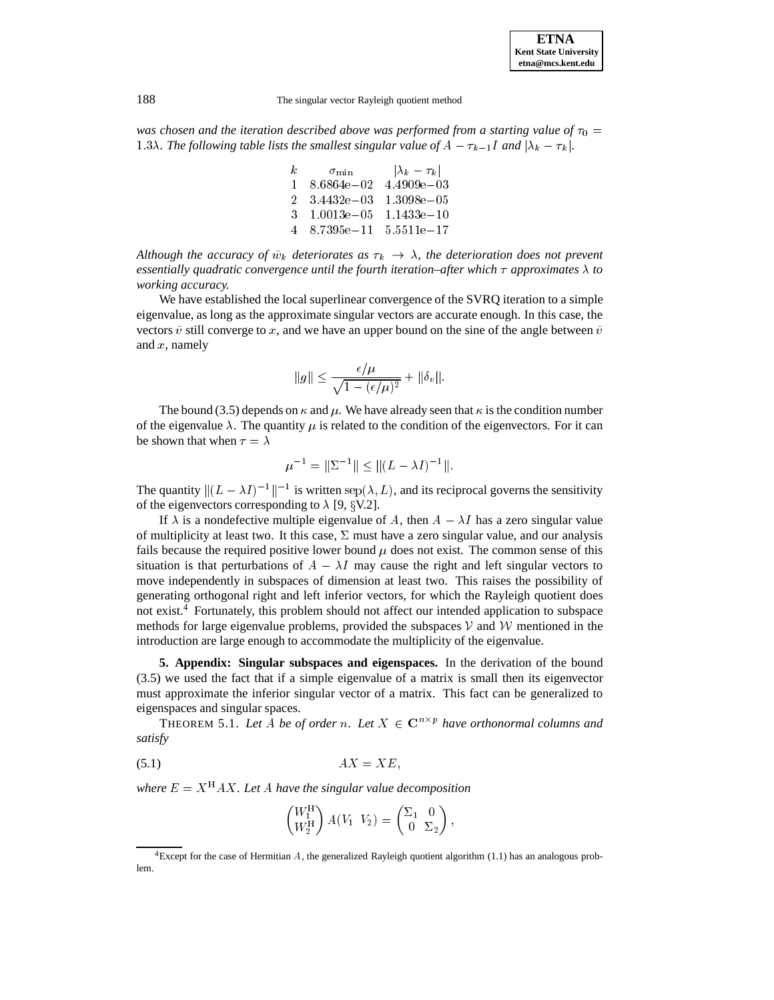188 The singular vector Rayleigh quotient method

*was chosen and the iteration described above was performed from a starting value of*  $\tau_0$  = 1.3 $\lambda$ . The following table lists the smallest singular value of  $A - \tau_{k-1}I$  and  $|\lambda_k - \tau_k|$ .

| $\kappa$ | $\sigma_{\min}$                           | $ \lambda_k - \tau_k $ |
|----------|-------------------------------------------|------------------------|
|          | $1\quad 8.6864e - 02\quad 4.4909e - 03$   |                        |
|          | $2 \quad 3.4432e - 03 \quad 1.3098e - 05$ |                        |
|          | 3 $1.0013e - 05$ $1.1433e - 10$           |                        |
|          | $4\quad 8\;7395e-11\quad 5\;5511e-17$     |                        |

*Although the accuracy of*  $\tilde{w}_k$  *deteriorates as*  $\tau_k \to \lambda$ , *the deterioration does not prevent essentially quadratic convergence until the fourth iteration–after which*  $\tau$  approximates  $\lambda$  to *working accuracy.*

We have established the local superlinear convergence of the SVRQ iteration to a simple eigenvalue, as long as the approximate singular vectors are accurate enough. In this case, the vectors  $\tilde{v}$  still converge to x, and we have an upper bound on the sine of the angle between  $\tilde{v}$ and x, namely

$$
||g|| \leq \frac{\epsilon/\mu}{\sqrt{1 - (\epsilon/\mu)^2}} + ||\delta_v||.
$$

The bound (3.5) depends on  $\kappa$  and  $\mu$ . We have already seen that  $\kappa$  is the condition number of the eigenvalue  $\lambda$ . The quantity  $\mu$  is related to the condition of the eigenvectors. For it can be shown that when  $\tau = \lambda$ 

$$
\mu^{-1} = \|\Sigma^{-1}\| \le \|(L - \lambda I)^{-1}\|.
$$

The quantity  $\|(L - \lambda I)^{-1}\|^{-1}$  is written sep( $\lambda, L$ ), and its reciprocal governs the sensitivity of the eigenvectors corresponding to  $\lambda$  [9, §V.2].

If  $\lambda$  is a nondefective multiple eigenvalue of A, then  $A - \lambda I$  has a zero singular value of multiplicity at least two. It this case,  $\Sigma$  must have a zero singular value, and our analysis fails because the required positive lower bound  $\mu$  does not exist. The common sense of this situation is that perturbations of  $A - \lambda I$  may cause the right and left singular vectors to move independently in subspaces of dimension at least two. This raises the possibility of generating orthogonal right and left inferior vectors, for which the Rayleigh quotient does not exist.<sup>4</sup> Fortunately, this problem should not affect our intended application to subspace methods for large eigenvalue problems, provided the subspaces  $V$  and  $W$  mentioned in the introduction are large enough to accommodate the multiplicity of the eigenvalue.

**5. Appendix: Singular subspaces and eigenspaces.** In the derivation of the bound (3.5) we used the fact that if a simple eigenvalue of a matrix is small then its eigenvector must approximate the inferior singular vector of a matrix. This fact can be generalized to eigenspaces and singular spaces.

**THEOREM 5.1.** Let A be of order n. Let  $X \in \mathbb{C}^{n \times p}$  have orthonormal columns and *satisfy*

$$
(5.1) \t\t\t AX = XE,
$$

*where*  $E = X^H A X$ *. Let* A have the singular value decomposition

$$
\begin{pmatrix} W_1^{\rm H} \\ W_2^{\rm H} \end{pmatrix} A(V_1 \ V_2) = \begin{pmatrix} \Sigma_1 & 0 \\ 0 & \Sigma_2 \end{pmatrix},
$$

<sup>&</sup>lt;sup>4</sup>Except for the case of Hermitian A, the generalized Rayleigh quotient algorithm (1.1) has an analogous problem.